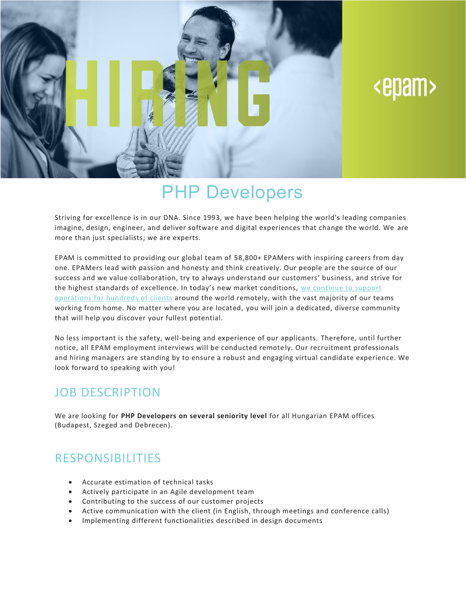

# <epam>

## PHP Developers

Striving for excellence is in our DNA. Since 1993, we have been helping the world's leading companies imagine, design, engineer, and deliver software and digital experiences that change the world. We are more than just specialists; we are experts.

EPAM is committed to providing our global team of 58,800+ EPAMers with inspiring careers from day one. EPAMers lead with passion and honesty and think creatively. Our people are the source of our success and we value collaboration, try to always understand our customers' business, and strive for the highest standards of excellence. In today's new market conditions, we [continue](https://www.epam.com/ceo-update-covid-19) to support [operations](https://www.epam.com/ceo-update-covid-19) for hundreds of clients around the world remotely, with the vast majority of our teams working from home. No matter where you are located, you will join a dedicated, diverse community that will help you discover your fullest potential.

No less important is the safety, well-being and experience of our applicants. Therefore, until further notice, all EPAM employment interviews will be conducted remote ly. Our recruitment professionals and hiring managers are standing by to ensure a robust and engaging virtual candidate experience. We look forward to speaking with you!

#### JOB DESCRIPTION

We are looking for **PHP Developers on several seniority level** for all Hungarian EPAM offices (Budapest, Szeged and Debrecen).

### RESPONSIBILITIES

- Accurate estimation of technical tasks
- Actively participate in an Agile development team
- Contributing to the success of our customer projects
- Active communication with the client (in English, through meetings and conference calls)
- Implementing different functionalities described in design documents